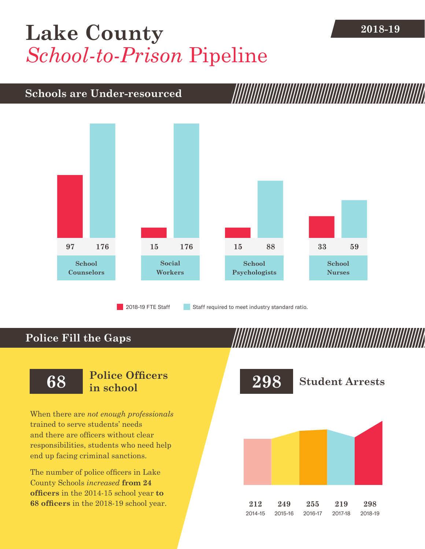## **2018-19 [Lake County](DBF_County)** *School-to-Prison* Pipeline

## **Schools are Under-resourced**



2018-19 FTE Staff **Staff required to meet industry standard ratio.** 

## **Police Fill the Gaps**

When there are *not enough professionals* trained to serve students' needs and there are officers without clear responsibilities, students who need help end up facing criminal sanctions.

The number of police officers in [Lake](DBF_County)  [County](DBF_County) Schools *increased* **from [24](DBF_PO1415)  officers** in the 2014-15 school year **to [68](DBF_PO) officers** in the 2018-19 school year.